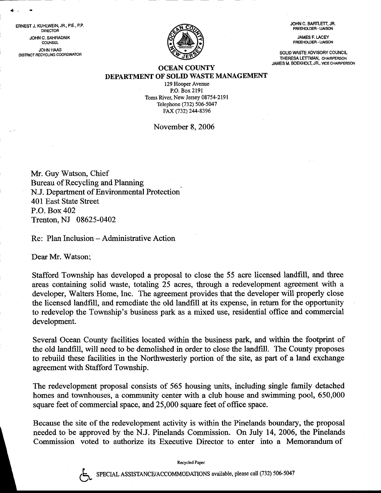JOHN C. BARTLETT, JR. FREEHOLDER. LIAISON

JAMES F. LACEY FREEHOLDEB. LIAISON

SOLID WASTE ADVISORY COUNCIL THERESA LETTMAN, CHAIRPERSON JAMES M. BOEKHOLT, JR., VICE CHAIRPERSON



## OCEAN COUNTY DEPARTMENT OF SOLID WASTE MANAGEMENT

129 Hooper Avenue P.O. Box 2191 Toms River, New Jersey 08754-2191 Telephone (732) 506-5047 FAX (732) 244-8396

November 8.2006

Mr. Guy Watson, Chief Bureau of Recycling and Planning N.J. Department of Environmental Protection 401 East State Street P.O. Box 402 Trenton, NJ 08625-0402

Re: Plan Inclusion - Administrative Action

Dear Mr. Watson;

?

ERNEST J. KUHLWEIN, JR., P.E., P.P, DIRECTOR JOHNC. SAHRAONIK , COUNSEL **JOHN HAAS** DISTRICT RECYCLING COORDINATOR

> Stafford Township has developed a proposal to close the 55 acre licensed landfill, and three areas containing solid waste, totaling 25 acres, through a redevelopment agreement with a developer, Walters Home, Inc. The agreement provides that the developer will properly close the licensed landfill, and remediate the old landfill at its expense, in return for the opportunity to redevelop the Township's business park as a mixed use, residential office and commercial development.

> Several Ocean County facilities located within the business park, and within the footprint of the old landfill, will need to be demolished in order to close the landfill. The County proposes to rebuild these facilities in the Northwesterly portion of the site, as part of a land exchange agreement with Stafford Township.

> The redevelopment proposal consists of 565 housing units, including single family detached homes and townhouses, a community center with a club house and swimming pool, 650,000 square feet of commercial space, and 25,000 square feet of office space.

> Because the site of the redevelopment activity is within the Pinetands boundary, the proposal needed to be approved by the N.J. Pinelands Commission. On July 14, 2006, the Pinelands Commission voted to authorize its Executive Director to enter into a Memorandum of

> > Recycled Paper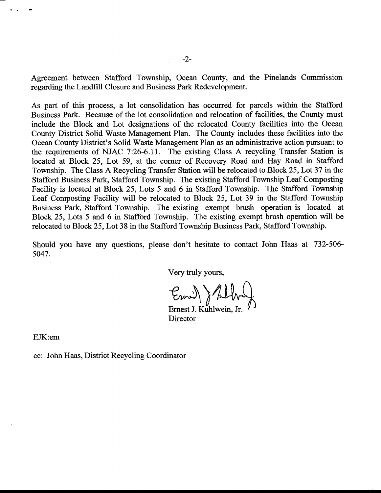Agreement between Stafford Township, Ocean County, and the Pinelands Commission regarding the Landfill Closure and Business Park Redevelopment.

As part of this process, a lot consolidation has occurred for parcels within the Stafford Business Park. Because of the lot consolidation and relocation of facilities, the County must include the Block and Lot designations of the relocated County facilities into the Ocean County District Solid Waste Management Plan. The County includes these facilities into the Ocean County District's Solid Waste Management Plan as an administrative action pursuant to the requirements of NJAC 7:26-6.11. The existing Class A recycling Transfer Station is located at Block 25, Lot 59, at the corner of Recovery Road and Hay Road in Stafford Township. The Class A Recycling Transfer Station will be relocated to Block 25, Lot 37 in the Stafford Business Park, Stafford Township. The existing Stafford Township Leaf Composting Facility is located at Block 25, Lots 5 and 6 in Stafford Township. The Stafford Township Leaf Composting Facility will be relocated to Block 25, Lot 39 in the Stafford Township Business Park, Stafford Township. The existing exempt brush operation is located at Block 25, Lots 5 and 6 in Stafford Township. The existing exempt brush operation will be relocated to Block 25,Lot 38 in the Stafford Township Business Park, Stafford Township.

Should you have any questions, please don't hesitate to contact John Haas at 732-506- 5047.

Very truly yours,

 $\mathcal{E}_{\text{max}}$  ) till

Ernest J. Kuhlwein. Jr. **Director** 

EJK:em

cc: John Haas, District Recycling Coordinator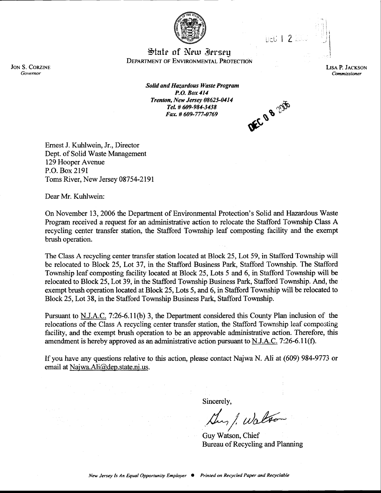

 $int122$ 

 $\mathbb{C}^{\mathcal{J}}$ 

State of New Jersey DEPARTMENT OF ENVIRONMENTAL PROTECTION

> LISA P. JACKSON Commissioner

Solid and Hazardous Waste Program P.O. Box414 Trenton, New Jersey 08625-0414 TeL # 609-984-3438 Tel. # 009-964-5456<br>Fax. # 609-777-0769  $\alpha$  o<sup>n you</sup>

**DEC BU** 

Emest J. Kuhlwein, Jr., Director Dept. of Solid Waste Management 129 Hooper Avenue P.O. Box 2191 Toms River, New Jersey 08754-2191

Dear Mr. Kuhlwein:

On November 13, 2006 the Departrnent of Environmental Protection's Solid and Hazardous Waste Program received a request for an administrative action to relocate the Stafford Township Class A recycling center transfer station, the Stafford Township leaf composting facility and the exempt brush operation.

The Class A recycling center transfer station located at Block 25, Lot 59, in Stafford Township will be relocated to Block 25, Lot 37, in the Stafford Business Park, Stafford Township. The Stafford Township leaf composting facility located at Block 25, Lots 5 and 6, in Stafford Township will be relocated to Block 25, Lot 39, in the Stafford Township Business Park, Stafford Township. And, the exempt brush operation located at Block 25, Lots 5, and 6, in Stafford Township will be relocated to Block 25,Lot 38, in the Stafford Township Business Park, Stafford Township.

Pursuant to N.J.A.C. 7:26-6.11(b) 3, the Department considered this County Plan inclusion of the relocations of the Class A recycling center transfer station, the Stafford Township leaf composting facility, and the exempt brush operation to be an approvable administrative action. Therefore, this amendment is hereby approved as an administrative action pursuant to  $N.J.A.C.$  7:26-6.11(f).

If you have any questions relative to this action, please contact Najwa N. Ali at (609) 984-9773 or email at Najwa.Ali@dep.state.nj.us.

Sincerely,

/  $\mu$ , l. walton /

Guy Watson, Chief Bureau of Recycling and Planning

**JON S. CORZINE** Governor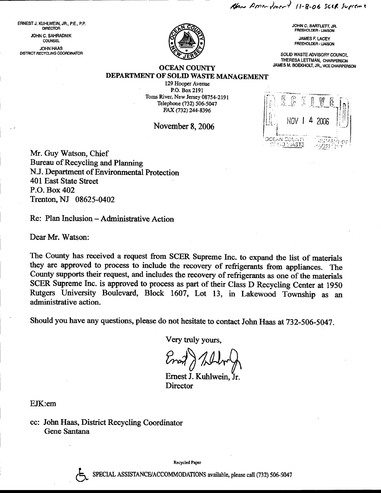Rhan Americant 11-8-06 SCER Supreme

ERNEST J. KUHLWEIN, JR., P.E., P.P. **DIRECTOR** JOHN C. SAHRADNIK **COUNSEL JOHN HAAS** DISTRICT RECYCLING COORDINATOR



JOHN C. BARTLETT, JR. FREEHOLDER - LIAISON

**JAMES F. LACEY FREEHOLDER - LIAISON** 

SOLID WASTE ADVISORY COUNCIL THERESA LETTMAN, CHAIRPERSON JAMES M. BOEKHOLT, JR., VICE CHAIRPERSON

## **OCEAN COUNTY** DEPARTMENT OF SOLID WASTE MANAGEMENT

129 Hooper Avenue P.O. Box 2191 Toms River, New Jersey 08754-2191 Telephone (732) 506-5047 FAX (732) 244-8396

November 8, 2006



Mr. Guy Watson, Chief Bureau of Recycling and Planning N.J. Department of Environmental Protection 401 East State Street P.O. Box 402 Trenton, NJ 08625-0402

Re: Plan Inclusion – Administrative Action

Dear Mr. Watson:

The County has received a request from SCER Supreme Inc. to expand the list of materials they are approved to process to include the recovery of refrigerants from appliances. The County supports their request, and includes the recovery of refrigerants as one of the materials SCER Supreme Inc. is approved to process as part of their Class D Recycling Center at 1950 Rutgers University Boulevard, Block 1607, Lot 13, in Lakewood Township as an administrative action.

Should you have any questions, please do not hesitate to contact John Haas at 732-506-5047.

Very truly yours.

Ernest J. Kuhlwein, Jr. Director

EJK:em

cc: John Haas, District Recycling Coordinator Gene Santana

**Recycled Paper**